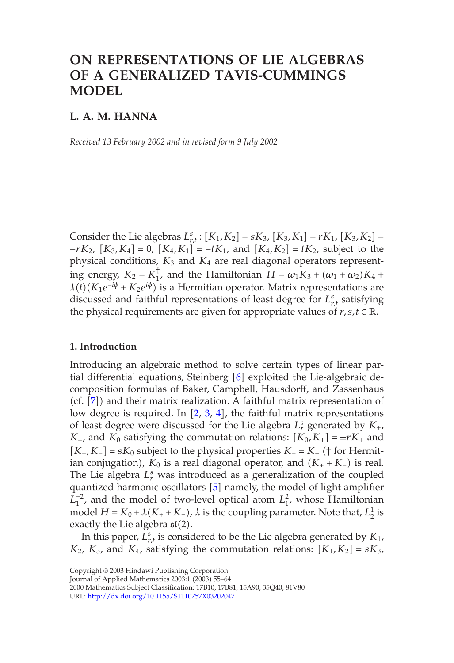# **ON REPRESENTATIONS OF LIE ALGEBRAS OF A GENERALIZED TAVIS-CUMMINGS MODEL**

## **L. A. M. HANNA**

*Received 13 February 2002 and in revised form 9 July 2002*

Consider the Lie algebras  $L_{r,t}^s$ :  $[K_1, K_2] = sK_3$ ,  $[K_3, K_1] = rK_1$ ,  $[K_3, K_2] =$ −*rK*2, [*K*3*,K*4] = 0, [*K*4*,K*1] = −*tK*1, and [*K*4*,K*2] = *tK*2, subject to the physical conditions,  $K_3$  and  $K_4$  are real diagonal operators representing energy,  $K_2 = K_1^{\dagger}$ , and the Hamil[to](#page-9-0)nian  $H = \omega_1 K_3 + (\omega_1 + \omega_2) K_4 +$  $\lambda(t)$ ( $K_1e^{-i\phi} + K_2e^{i\phi}$ ) is a Hermitian operator. Matrix representations are disc[us](#page-9-1)sed and faithful representations of least degree for  $L_{r,t}^s$  satisfying the physical [re](#page-8-0)quirements are [giv](#page-8-1)[en](#page-8-2) for appropriate values of  $r, s, t \in \mathbb{R}$ .

### **1. Introduction**

Introducing an algebraic method to solve certain types of linear partial differential equations, Stein[be](#page-8-3)rg [6] exploited the Lie-algebraic decomposition formulas of Baker, Campbell, Hausdorff, and Zassenhaus (cf. [7]) and their matrix realization. A faithful matrix representation of low degree is required. In  $[2, 3, 4]$ , the faithful matrix representations of least degree were discussed for the Lie algebra  $L_r^s$  generated by  $K_{+}$ , *K*−, and *K*<sup>0</sup> satisfying the commutation relations:  $[K_0, K_{\pm}] = \pm rK_{\pm}$  and [*K*+*,K*−] = *sK*<sup>0</sup> subject to the physical properties *K*<sup>−</sup> = *K*† <sup>+</sup> († for Hermitian conjugation),  $K_0$  is a real diagonal operator, and  $(K_+ + K_-)$  is real. The Lie algebra  $L_r^s$  was introduced as a generalization of the coupled qua[ntized harmonic oscillators](http://dx.doi.org/10.1155/S1110757X03202047) [5] namely, the model of light amplifier  $L_1^{-2}$ , and the model of two-level optical atom  $L_1^2$ , whose Hamiltonian model  $H = K_0 + \lambda (K_+ + K_-)$ ,  $\lambda$  is the coupling parameter. Note that,  $L_2^1$  is exactly the Lie algebra  $\mathfrak{sl}(2)$ .

In this paper,  $L_{r,t}^s$  is considered to be the Lie algebra generated by  $K_1$ ,  $K_2$ ,  $K_3$ , and  $K_4$ , satisfying the commutation relations:  $[K_1, K_2] = sK_3$ ,

Journal of Applied Mathematics 2003:1 (2003) 55–64

<sup>2000</sup> Mathematics Subject Classification: 17B10, 17B81, 15A90, 35Q40, 81V80

URL: http://dx.doi.org/10.1155/S1110757X03202047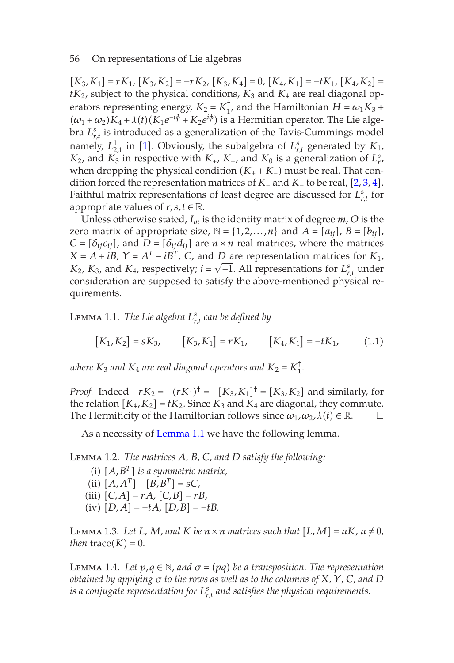$[K_3, K_1] = rK_1$  $[K_3, K_1] = rK_1$  $[K_3, K_1] = rK_1$  $[K_3, K_1] = rK_1$  $[K_3, K_1] = rK_1$  $[K_3, K_1] = rK_1$  $[K_3, K_1] = rK_1$  $[K_3, K_1] = rK_1$  $[K_3, K_1] = rK_1$ ,  $[K_3, K_2] = -rK_2$ ,  $[K_3, K_4] = 0$ ,  $[K_4, K_1] = -tK_1$ ,  $[K_4, K_2] =$  $tK_2$ , subject to the physical conditions,  $K_3$  and  $K_4$  are real diagonal operators representing energy,  $K_2 = K_1^{\dagger}$ , and the Hamiltonian  $H = \omega_1 K_3 +$  $(\omega_1 + \omega_2)K_4 + \lambda(t)(K_1e^{-i\phi} + K_2e^{i\phi})$  is a Hermitian operator. The Lie algebra  $L_{r,t}^s$  is introduced as a generalization of the Tavis-Cummings model namely,  $L_{2,1}^1$  in [1]. Obviously, the subalgebra of  $L_{r,t}^s$  generated by  $K_1$ , *K*<sub>2</sub>, and *K*<sub>3</sub> in respective with *K*<sub>+</sub>, *K*<sub>−</sub>, and *K*<sub>0</sub> is a generalization of  $L_r^s$ , when dropping the physical condition (*K*<sup>+</sup> + *K*−) must be real. That condition forced the representation matrices of *K*<sup>+</sup> and *K*<sup>−</sup> to be real, [2, 3, 4]. Faithful matrix representations of least degree are discussed for  $L_{r,t}^s$  for appropriate values of  $r, s, t \in \mathbb{R}$ .

<span id="page-1-0"></span>Unless otherwise stated, *Im* is the identity matrix of degree *m*, *O* is the zero matrix of appropriate size,  $\mathbb{N} = \{1, 2, ..., n\}$  and  $A = [a_{ij}], B = [b_{ij}],$  $C = [\delta_{ij} c_{ij}]$ , and  $D = [\delta_{ij} d_{ij}]$  are  $n \times n$  real matrices, where the matrices  $X = A + iB$ ,  $Y = A<sup>T</sup> - iB<sup>T</sup>$ ,  $C$ , and *D* are representation matrices for  $K<sub>1</sub>$ ,  $K_2$ ,  $K_3$ , and  $K_4$ , respectively;  $i = \sqrt{-1}$ . All representations for  $L_{r,t}^s$  under consideration are supposed to satisfy the above-mentioned physical requirements.

Lemma 1.1. *The Lie algebra Ls [r,t](#page-1-0) can be defined by*

$$
[K_1, K_2] = sK_3, \qquad [K_3, K_1] = rK_1, \qquad [K_4, K_1] = -tK_1, \qquad (1.1)
$$

*where*  $K_3$  *and*  $K_4$  *are real diagonal operators and*  $K_2 = K_1^{\dagger}$ *.* 

*Proof.* Indeed  $-rK_2 = -(rK_1)^{\dagger} = -[K_3, K_1]^{\dagger} = [K_3, K_2]$  and similarly, for the relation  $[K_4, K_2] = tK_2$ . Since  $K_3$  and  $K_4$  are diagonal, they commute. The Hermiticity of the Hamiltonian follows since  $\omega_1, \omega_2, \lambda(t) \in \mathbb{R}$ .

As a necessity of Lemma 1.1 we have the following lemma.

<span id="page-1-1"></span>Lemma 1.2. *The matrices A, B, C, and D satisfy the following:*

(i) [*A,B<sup>T</sup>* ] *is a symmetric matrix,* (ii)  $[A, A^T] + [B, B^T] = sC$  $(iii)$   $[C, A] = rA$ *,*  $[C, B] = rB$ *,*  $(iv)$   $[D, A] = -tA$ *,*  $[D, B] = -tB$ *.* 

LEMMA 1.3. Let L, M, and K be  $n \times n$  matrices such that  $[L, M] = aK$ ,  $a \neq 0$ , *then*  $trace(K) = 0$ *.* 

**LEMMA** 1.4. Let  $p, q \in \mathbb{N}$ , and  $\sigma = (pq)$  be a transposition. The representation *obtained by applying σ to the rows as well as to the columns of X, Y, C, and D is a conjugate representation for Ls r,t and satisfies the physical requirements.*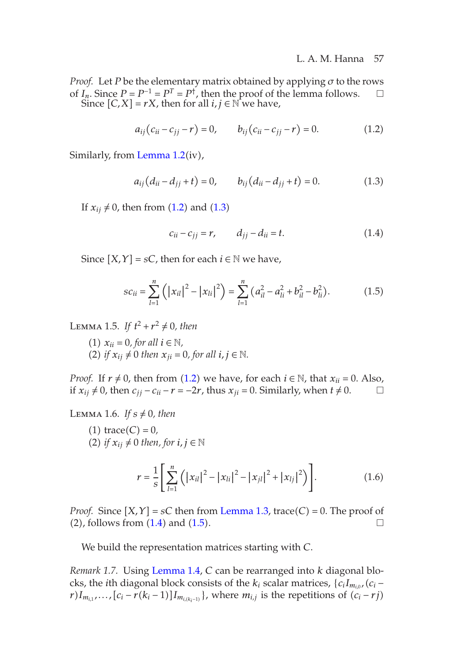#### <span id="page-2-4"></span><span id="page-2-2"></span><span id="page-2-1"></span><span id="page-2-0"></span>L. A. M. Hanna 57

*Proof.* Let *P* be the elementary matrix obtained by applying *σ* to the rows of *I<sub>n</sub>*. Since *P* = *P*<sup>-1</sup> = *P*<sup>*T*</sup> = *P*<sup>†</sup>, then the proof of the lemma follows. □ Since  $[C, X] = rX$ , th[en f](#page-2-0)or all  $i, j \in \mathbb{N}$  $i, j \in \mathbb{N}$  we have,

$$
a_{ij}(c_{ii} - c_{jj} - r) = 0, \t b_{ij}(c_{ii} - c_{jj} - r) = 0.
$$
 (1.2)

Similarly, from Lemma 1.2(iv),

$$
a_{ij}(d_{ii} - d_{jj} + t) = 0, \t b_{ij}(d_{ii} - d_{jj} + t) = 0.
$$
\t(1.3)

If  $x_{ij} \neq 0$ , then from (1.2) and (1.3)

$$
c_{ii} - c_{jj} = r, \t d_{jj} - d_{ii} = t.
$$
 (1.4)

Since  $[X, Y] = sC$ , then for each  $i \in \mathbb{N}$  we have,

$$
sc_{ii} = \sum_{l=1}^{n} (|x_{il}|^2 - |x_{li}|^2) = \sum_{l=1}^{n} (a_{il}^2 - a_{li}^2 + b_{il}^2 - b_{li}^2). \tag{1.5}
$$

LEMMA 1.5. *If*  $t^2 + r^2 \neq 0$ *, then* 

(1)  $x_{ii} = 0$ , for all  $i \in \mathbb{N}$ , (2) *if*  $x_{ij} \neq 0$  *then*  $x_{ji} = 0$ *, for all*  $i, j \in \mathbb{N}$ *.* 

*Proof.* If  $r \neq 0$ , then from (1.2) we have, for each  $i \in \mathbb{N}$ , that  $x_{ii} = 0$ . Also, if  $x_{ij} \neq 0$ , then  $c_{jj} - c_{ii} - r = -2r$ , thus  $x_{ji} = 0$ . Similarly, when  $t \neq 0$ . □

<span id="page-2-3"></span>LEMMA 1.6. If  $s \neq 0$ [, th](#page-2-2)en

\n- (1) trace(C) = 0,
\n- (2) if 
$$
x_{ij} \neq 0
$$
 then, for  $i, j \in \mathbb{N}$
\n

$$
r = \frac{1}{S} \left[ \sum_{l=1}^{n} \left( \left| x_{il} \right|^{2} - \left| x_{li} \right|^{2} - \left| x_{jl} \right|^{2} + \left| x_{lj} \right|^{2} \right) \right].
$$
 (1.6)

*Proof.* Since  $[X, Y] = sC$  then from Lemma 1.3, trace(*C*) = 0. The proof of (2), follows from  $(1.4)$  and  $(1.5)$ .

We build the representation matrices starting with *C*.

*Remark 1.7.* Using Lemma 1.4, *C* can be rearranged into *k* diagonal blocks, the *i*th diagonal block consists of the  $k_i$  scalar matrices,  $\{c_iI_{m_i}$   $(c_i$ *r*)*I*<sub>*m*<sub>*i*,1</sub></sub>*,...*,  $[c_i - r(k_i - 1)]$ *I*<sub>*m*<sub>*i*</sub>(*k<sub>i</sub>*−1)</sub>}, where *m*<sub>*i*,*j*</sub> is the repetitions of  $(c_i - rj)$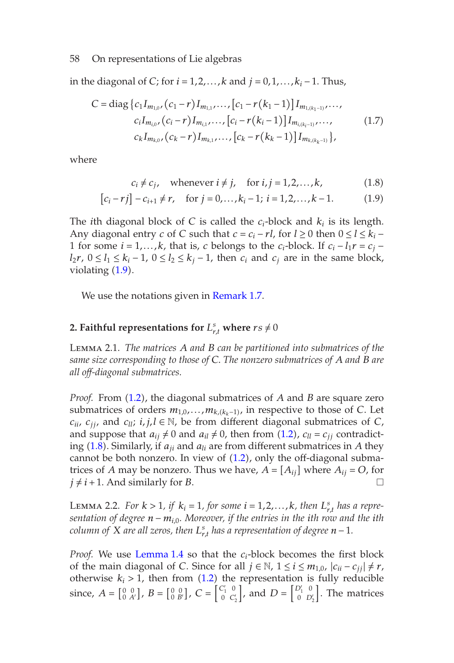in the diagonal of *C*; for *i* = 1*,*2*,...,k* and *j* = 0*,*1*,...,ki* − 1. Thus,

$$
C = \text{diag}\left\{c_1 I_{m_{1,0}}, (c_1 - r) I_{m_{1,1}}, \dots, [c_1 - r(k_1 - 1)] I_{m_{1,(k_1-1)}}, \dots, (c_i - t) I_{m_{i,0}}, (c_i - r) I_{m_{i,1}}, \dots, [c_i - r(k_i - 1)] I_{m_{i,(k_i-1)}}, \dots, (1.7) I_{m_{k,0}}, (c_k - r) I_{m_{k,1}}, \dots, [c_k - r(k_k - 1)] I_{m_{k,(k_k-1)}}\right\},\tag{1.7}
$$

where

<span id="page-3-3"></span><span id="page-3-0"></span>
$$
c_i \neq c_j
$$
, whenever  $i \neq j$ , for  $i, j = 1, 2, ..., k$ , (1.8)

$$
[c_i - rj] - c_{i+1} \neq r, \quad \text{for } j = 0, \dots, k_i - 1; \ i = 1, 2, \dots, k - 1. \tag{1.9}
$$

<span id="page-3-1"></span>The *i*th diagonal block of *C* is called the  $c_i$ -block and  $k_i$  is its length. Any diagonal entry *c* of *C* such that  $c = c_i - rl$ , for  $l ≥ 0$  then  $0 ≤ l ≤ k_i$  – 1 for some  $i = 1, \ldots, k$ , that is, *c* belongs to the  $c_i$ -block. If  $c_i - l_1 r = c_j - l_1 r$ *l*<sub>2</sub>*r*, 0 ≤ *l*<sub>1</sub> ≤ *k<sub>i</sub>* − 1, 0 ≤ *l*<sub>2</sub> ≤ *k<sub>j</sub>* − 1, then *c<sub>i</sub>* and *c<sub>j</sub>* are in the same block, violating (1.9).

W[e](#page-2-0) use the [not](#page-2-0)ations given in Remark 1.7.

# 2. Faithful representations for  $L_{r,t}^s$  where  $rs \neq 0$

Lem[ma](#page-3-0) 2.1. *The matrices A and B can [be p](#page-2-0)artitioned into submatrices of the same size corresponding to those of C. The nonzero submatrices of A and B are all off-diagonal submatrices.*

<span id="page-3-2"></span>*Proof.* From (1.2), the diagonal submatrices of *A* and *B* are square zero submatrices of orders  $m_{1,0},...,m_{k,(k_k-1)}$ , in respective to those of *C*. Let *c*<sub>ii</sub>, *c*<sub>jj</sub>, and *c*<sub>*ll*</sub>; *i*, *j*,*l* ∈ ℕ, be from different diagonal submatrices of *C*, and suppose that  $a_{ij} \neq 0$  and  $a_{il} \neq 0$ , then from (1.2),  $c_{ll} = c_{ij}$  contradicting (1.8). Simil[arly, if](#page-1-1) *aji* and *ali* are from different submatrices in *A* they cannot be both nonzero. In view of  $(1.2)$ , only the off-diagonal submatrices of *A* may be nonzero. T[hus](#page-2-0) we have,  $A = [A_{ij}]$  where  $A_{ij} = O$ , for  $j \neq i+1$ . And similarly for *B*.

LEMMA 2.2. *For*  $k > 1$ *, if*  $k_i = 1$ *, for some*  $i = 1, 2, \ldots, k$ *, then*  $L_{r,t}^s$  *has a representation of degree n* − *mi,*0*. Moreover, if the entries in the ith row and the ith column of*  $X$  *are all zeros, then*  $L_{r,t}^s$  *has a representation of degree*  $n-1$ *.* 

*Proof.* We use Lemma 1.4 so that the *ci*-block becomes the first block of the main diagonal of *C*. Since for all  $j \in \mathbb{N}$ ,  $1 \le i \le m_{1,0}$ ,  $|c_{ii} - c_{jj}| \ne r$ , otherwise  $k_i > 1$ , then from  $(1.2)$  the representation is fully reducible since,  $A = \begin{bmatrix} 0 & 0 \\ 0 & A' \end{bmatrix}$ ,  $B = \begin{bmatrix} 0 & 0 \\ 0 & B' \end{bmatrix}$ ,  $C = \begin{bmatrix} C'_1 & 0 \\ 0 & C'_2 \end{bmatrix}$ *J*, and  $D = \begin{bmatrix} D'_1 & 0 \\ 0 & D'_2 \end{bmatrix}$ . The matrices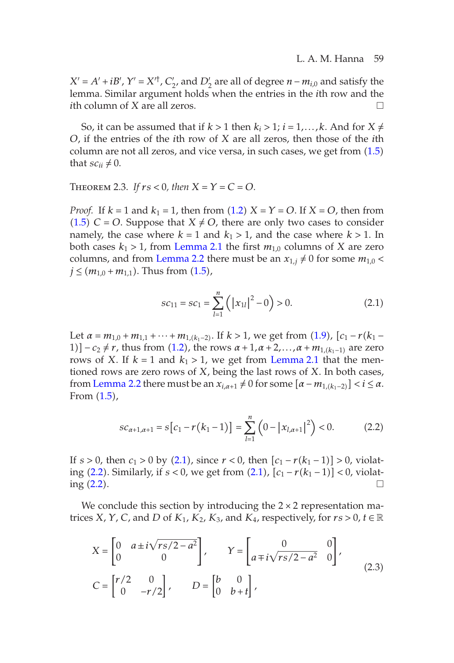#### <span id="page-4-0"></span>L. A. M. Hanna 59

 $X' = A' + iB'$ ,  $Y' = X'^{\dagger}$ ,  $C'_{2}$ , and  $D'_{2}$  are all of degree *n* −  $m_{i,0}$  and satisfy the lemma. Similar argument holds when the entries in the *i*th row and the *i*th column of *X* are all zeros.

So, it can be assumed that if  $k > 1$  then  $k_i > 1$ ;  $i = 1, ..., k$ . And for  $X \neq$ *O*, if the entries of the *i*[th row of](#page-3-1) *X* are all zeros, then those of the *i*th column are not all [zeros, and vi](#page-3-2)ce versa, in such cases, we get from (1.5) that  $sc_{ii} \neq 0$ .

THEOREM 2.3. If  $rs < 0$ , then  $X = Y = C = O$ .

*Proof.* If  $k = 1$  and  $k_1 = 1$ , then from  $(1.2)$   $X = Y = O$ . If  $X = O$ , then from  $(1.5)$  *C* = *O*. Suppose that *X*  $\neq$  *O*, there are only two cases to consider namely, the case [wh](#page-3-3)ere  $k = 1$  and  $k_1 > 1$ , and the case where  $k > 1$ . In both cases  $k_1 > 1$ , from [Le](#page-2-0)mma 2.1 the first  $m_{1,0}$  [columns](#page-3-1) of *X* are zero columns, and from Lemma 2.2 there must be an  $x_{1,j} \neq 0$  for some  $m_{1,0} <$ *j* ≤ ( $m$ <sub>1,0</sub> +  $m$ <sub>1,1</sub>). Thus from (1.5),

<span id="page-4-1"></span>
$$
sc_{11} = sc_1 = \sum_{l=1}^{n} (|x_{1l}|^2 - 0) > 0.
$$
 (2.1)

Let  $\alpha = m_{1,0} + m_{1,1} + \cdots + m_{1,(k_1-2)}$ . If  $k > 1$ , we get from (1.9),  $[c_1 - r(k_1 -$ 1)]  $-c_2 \neq r$ , thus from ([1.2](#page-4-0)), the rows  $\alpha + 1, \alpha + 2, \ldots, \alpha + m_{1,(k_1-1)}$  are zero rows of *X*. If  $k = 1$  and  $k_1 > 1$ , we get from Lemma 2.1 that the mention[ed](#page-4-1) [r](#page-4-1)ows are zero rows of *X*, being th[e](#page-4-0) [la](#page-4-0)st rows of *X*. In both cases, from [Lem](#page-4-1)ma 2.2 there must be an  $x_{i,\alpha+1} \neq 0$  for some  $[\alpha-m_{1,(k_1-2)}] < i \leq \alpha$ . From (1.5),

$$
sc_{\alpha+1,\alpha+1} = s[c_1 - r(k_1 - 1)] = \sum_{l=1}^{n} (0 - |x_{l,\alpha+1}|^2) < 0.
$$
 (2.2)

If  $s > 0$ , then  $c_1 > 0$  by (2.1), since  $r < 0$ , then  $[c_1 - r(k_1 - 1)] > 0$ , violating (2.2). Similarly, if *s <* 0, we get from (2.1), [*c*<sup>1</sup> − *r*(*k*<sup>1</sup> − 1)] *<* 0, violating  $(2.2)$ .

We conclude this section by introducing the  $2 \times 2$  representation matrices *X*, *Y*, *C*, and *D* of *K*<sub>1</sub>, *K*<sub>2</sub>, *K*<sub>3</sub>, and *K*<sub>4</sub>, respectively, for  $rs > 0$ ,  $t \in \mathbb{R}$ 

$$
X = \begin{bmatrix} 0 & a \pm i\sqrt{rs/2 - a^2} \\ 0 & 0 \end{bmatrix}, \qquad Y = \begin{bmatrix} 0 & 0 \\ a \mp i\sqrt{rs/2 - a^2} & 0 \end{bmatrix},
$$
  

$$
C = \begin{bmatrix} r/2 & 0 \\ 0 & -r/2 \end{bmatrix}, \qquad D = \begin{bmatrix} b & 0 \\ 0 & b + t \end{bmatrix},
$$
 (2.3)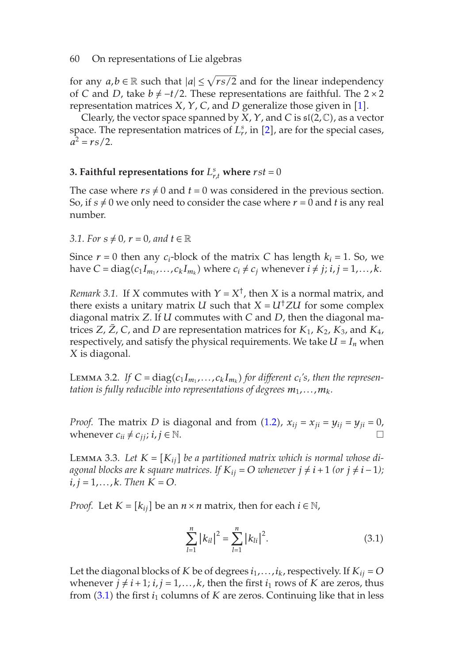for any  $a, b \in \mathbb{R}$  such that  $|a| \leq \sqrt{rs}/2$  and for the linear independency of *C* and *D*, take  $b \neq -t/2$ . These representations are faithful. The 2 × 2 representation matrices *X*, *Y*, *C*, and *D* generalize those given in [1].

Clearly, the vector space spanned by *X*, *Y*, and *C* is sl(2*,*C), as a vector space. The representation matrices of  $L_r^s$ , in [2], are for the special cases,  $a^2 = rs/2$ .

# <span id="page-5-2"></span>**3. Faithful representations for**  $L_{r,t}^s$  **where**  $rst = 0$

The case where  $rs \neq 0$  and  $t = 0$  was considered in the previous section. So, if  $s \neq 0$  we only need to consider the case where  $r = 0$  and  $t$  is any real number.

### *3.1. For*  $s \neq 0$ ,  $r = 0$ , and  $t \in \mathbb{R}$

Since  $r = 0$  then any  $c_i$ -block of the matrix *C* has length  $k_i = 1$ . So, we have *C* = diag( $c_1I_{m_1},...,c_kI_{m_k}$ ) where  $c_i \neq c_j$  whenever  $i \neq j$ ;  $i, j = 1,...,k$ .

*Remark 3.1.* If *X* commutes with  $Y = X^{\dagger}$ , then *X* is a normal matrix, and there exists a unitary matrix *U* such that  $X = U^{\dagger} Z U$  for some complex diagonal matrix *Z*. If *U* commutes with *C* a[nd](#page-2-0) *D*, then the diagonal matrices *Z*,  $\bar{Z}$ , *C*, and *D* are representation matrices for  $K_1$ ,  $K_2$ ,  $K_3$ , and  $K_4$ , respectively, and satisfy the physical requirements. We take  $U = I_n$  when *X* is diagonal.

<span id="page-5-1"></span>LEMMA 3.2. If  $C = diag(c_1 I_{m_1}, \ldots, c_k I_{m_k})$  for different  $c_i$ 's, then the represen*tation is fully reducible into representations of degrees*  $m_1, \ldots, m_k$ .

*Proof.* The matrix *D* is diagonal and from (1.2),  $x_{ij} = x_{ji} = y_{ij} = y_{ji} = 0$ , whenever  $c_{ii} \neq c_{jj}$ ;  $i, j \in \mathbb{N}$ .

LEMMA 3.3. Let  $K = [K_{ij}]$  be a partitioned matrix which is normal whose di*agonal blocks are k square matrices. If*  $K_{ij} = O$  *whenever*  $j \neq i + 1$  *(or*  $j \neq i - 1$ *)*;  $i, j = 1, \ldots, k$ *. Then*  $K = O$ *.* 

*Proof.* Let  $K = [k_{ij}]$  be an  $n \times n$  matrix, then for each  $i \in \mathbb{N}$ ,

<span id="page-5-0"></span>
$$
\sum_{l=1}^{n} |k_{il}|^2 = \sum_{l=1}^{n} |k_{li}|^2.
$$
 (3.1)

Let the diagonal blocks of *K* be of degrees  $i_1, \ldots, i_k$ , respectively. If  $K_{ij} = O$ whenever  $j \neq i+1$ ;  $i, j = 1,...,k$ , then the first  $i_1$  rows of *K* are zeros, thus from  $(3.1)$  the first  $i_1$  columns of *K* are zeros. Continuing like that in less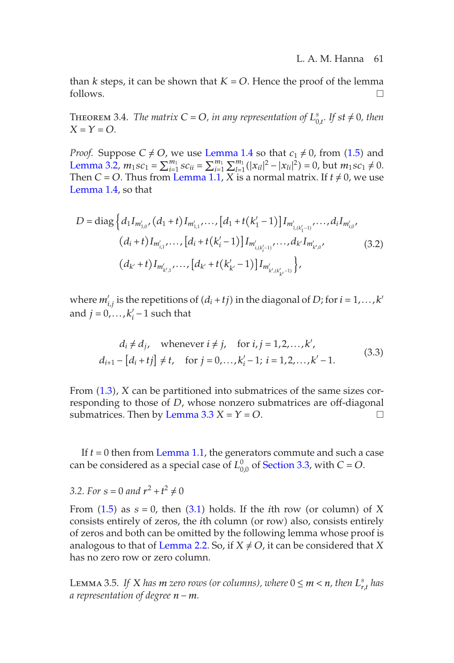L. A. M. Hanna 61

[than](#page-1-1)  $k$  steps, it can be shown that  $K = O$ . Hence the proof of the lemma follows.  $\Box$ 

**THEOREM** 3.4. *The matrix*  $C = O$ *, in any representation of*  $L_{0,t}^s$ *. If st*  $\neq 0$ *, then*  $X = Y = 0$ .

*Proof.* Suppose  $C \neq O$ , we use Lemma 1.4 so that  $c_1 \neq 0$ , from (1.5) and Lemma 3.2,  $m_1sc_1 = \sum_{i=1}^{m_1} sc_{ii} = \sum_{i=1}^{m_1} \sum_{l=1}^{m_1} (|x_{il}|^2 - |x_{li}|^2) = 0$ , but  $m_1sc_1 \neq 0$ . Then *C* = *O*. Thus from Lemma 1.1, *X* is a normal matrix. If  $t \neq 0$ , we use Lemma 1.4, so that

$$
D = \text{diag}\left\{d_1 I_{m'_{1,0}}, (d_1 + t) I_{m'_{1,1}}, \dots, [d_1 + t(k'_1 - 1)] I_{m'_{1,(k'_1 - 1)}}, \dots, d_i I_{m'_{i,0}},
$$
  

$$
(d_i + t) I_{m'_{i,1}}, \dots, [d_i + t(k'_i - 1)] I_{m'_{i,(k'_i - 1)}}, \dots, d_{k'} I_{m'_{k',0}},
$$
  

$$
(d_{k'} + t) I_{m'_{k',1}}, \dots, [d_{k'} + t(k'_{k'} - 1)] I_{m'_{k',k'_{k'} - 1)}}\right\},
$$
  
(3.2)

where  $m'_{i,j}$  is the repetitions of  $(d_i + tj)$  in the diagonal of *D*; for  $i = 1, ..., k'$ and  $j = 0, \ldots, k_i - 1$  su[ch](#page-5-1) [that](#page-5-1)

$$
d_i \neq d_j, \quad \text{whenever } i \neq j, \quad \text{for } i, j = 1, 2, \dots, k',
$$
\n
$$
d_{i+1} - [d_i + tj] \neq t, \quad \text{for } j = 0, \dots, k'_i - 1; \ i = 1, 2, \dots, k' - 1. \tag{3.3}
$$

From (1.3), *X* can be partitioned into submatrices of the same sizes correspon[ding](#page-2-4) to those of *D*, [who](#page-5-0)se nonzero submatrices are off-diagonal submatrices. Then by Lemma  $3.3 X = Y = O$ .

If *t* = 0 then from Lemma 1.1, the generators commute and such a case can be considered as a special case of  $L_{0,0}^0$  of Section 3.3, with  $C = O$ .

## *3.2. For*  $s = 0$  *and*  $r^2 + t^2 \neq 0$

From  $(1.5)$  as  $s = 0$ , then  $(3.1)$  holds. If the *i*th row (or column) of *X* consists entirely of zeros, the *i*th column (or row) also, consists entirely of zeros and both can be omitted by the following lemma whose proof is analogous to that of Lemma 2.2. So, if  $X \neq O$ , it can be considered that *X* has no zero row or zero column.

Lemma 3.5. *If X has*  $m$  *zero rows (or columns), where*  $0 \le m < n$ , *then*  $L_{r,t}^s$  *has a representation of degree n* − *m.*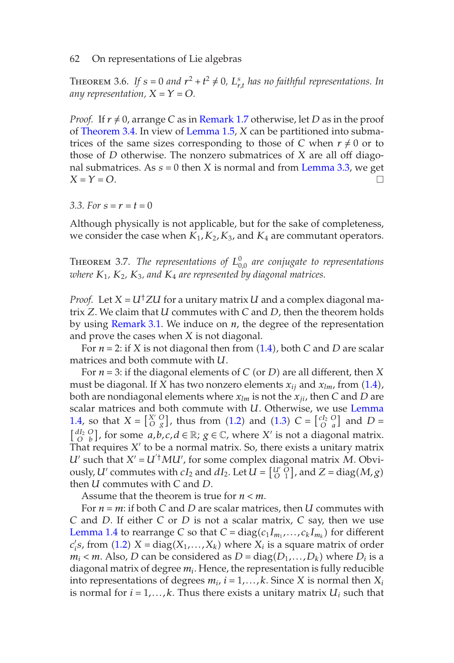<span id="page-7-0"></span>THEOREM 3.6. If  $s = 0$  and  $r^2 + t^2 \neq 0$ ,  $L_{r,t}^s$  has no faithful representations. In *any representation,*  $X = Y = O$ .

*Proof.* If  $r \neq 0$ , arrange *C* as in Remark 1.7 otherwise, let *D* as in the proof of Theorem 3.4. In view of Lemma 1.5, *X* can be partitioned into submatrices of the same sizes corresponding to those of *C* when  $r \neq 0$  or to those of *D* otherwise. The nonzero submatrices of *X* are all off diagonal submatrices. As  $s = 0$  then *X* is normal and from Lemma 3.3, we get  $X = Y = O$ .

*3.3. For*  $s = r = t = 0$ 

Althoug[h](#page-5-2) [physically](#page-5-2) is not applicable, but for the sake of completeness, we consider the case when  $K_1, K_2, K_3$  $K_1, K_2, K_3$ , and  $K_4$  are commutant operators.

Theorem 3.7. *The representations of L*<sup>0</sup> <sup>0</sup>*,*<sup>0</sup> *are conjugate to representations where K*1*, K*2*, K*3*, and K*<sup>4</sup> *are represented by diagonal matrices.*

*Proof.* Let  $X = U^{\dagger} Z U$  for a unitary matrix  $U$  and a complex diag[onal ma](#page-1-1)[trix](#page-1-1) *Z*. We claim that *U* commutes w[ith](#page-2-0) *C* and *D*[, th](#page-2-1)en the theorem holds by using Remark 3.1. We induce on *n*, the degree of the representation and prove the cases when *X* is not diagonal.

For *n* = 2: if *X* is not diagonal then from (1.4), both *C* and *D* are scalar matrices and both commute with *U*.

For *n* = 3: if the diagonal elements of *C* (or *D*) are all different, then *X* must be diagonal. If *X* has two nonzero elements  $x_{ij}$  and  $x_{lm}$ , from (1.4), both are nondiagonal elements where  $x_{lm}$  is not the  $x_{ji}$ , then *C* and *D* are scalar matrices and both commute with *U*. Otherwise, we use Lemma [1.4, so that](#page-1-1)  $X = \begin{bmatrix} X' & 0 \\ 0 & g \end{bmatrix}$ , thus from (1.2) and (1.3)  $C = \begin{bmatrix} cI_2 & 0 \\ 0 & a \end{bmatrix}$  and  $D =$  $\begin{bmatrix} dI_2 & O \\ O & b \end{bmatrix}$ , fo[r so](#page-2-0)me *a*,*b*,*c*,*d* ∈ ℝ; *g* ∈ ℂ, where *X'* is not a diagonal matrix. That requires  $X'$  to be a normal matrix. So, there exists a unitary matrix  $U'$  such that  $X' = U'^{\dagger} M U'$ , for some complex diagonal matrix  $M$ . Obviously, *U*' commutes with  $cI_2$  and  $dI_2$ . Let  $\overline{U} = \begin{bmatrix} U' & O \\ O & 1 \end{bmatrix}$ , and  $Z = \text{diag}(M, g)$ then *U* commutes with *C* and *D*.

Assume that the theorem is true for  $n < m$ .

For *n* = *m*: if both *C* and *D* are scalar matrices, then *U* commutes with *C* and *D*. If either *C* or *D* is not a scalar matrix, *C* say, then we use Lemma 1.4 to rearrange *C* so that  $C = diag(c_1 I_{m_1}, \ldots, c_k I_{m_k})$  for different  $c_i$ 's, from (1.2)  $X = diag(X_1, ..., X_k)$  where  $X_i$  is a square matrix of order  $m_i$   $<$  *m*. Also, *D* can be considered as *D* = diag( $D_1$ ,..., $D_k$ ) where  $D_i$  is a diagonal matrix of degree *mi*. Hence, the representation is fully reducible into representations of degrees  $m_i$ ,  $i = 1, \ldots, k$ . Since *X* is normal then  $X_i$ is normal for  $i = 1, \ldots, k$ . Thus there exists a unitary matrix  $U_i$  such that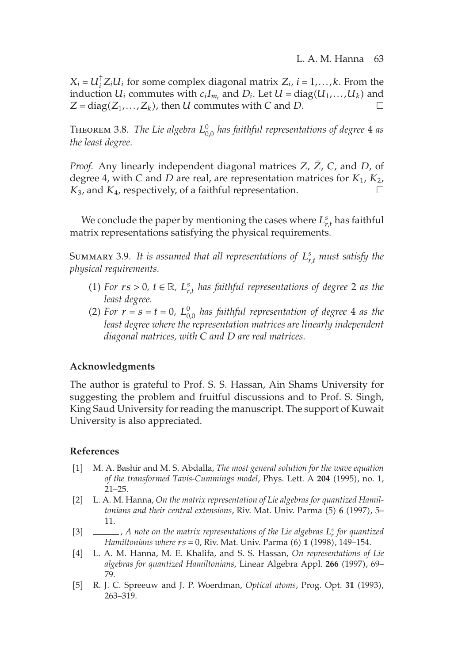$X_i = U_i^{\dagger} Z_i U_i$  for some complex diagonal matrix  $Z_i$ ,  $i = 1, \ldots, k$ . From the induction  $U_i$  commutes with  $c_iI_{m_i}$  and  $D_i$ . Let  $U = diag(U_1, \ldots, U_k)$  and  $Z = diag(Z_1, \ldots, Z_k)$ , then *U* commutes with *C* and *D*.

Theorem 3.8. *The Lie algebra L*<sup>0</sup> <sup>0</sup>*,*<sup>0</sup> *has faithful representations of degree* 4 *as the least degree.*

*Proof.* Any linearly independent diagonal matrices *Z*, *Z*, *C*, and *D*, of degree 4, with *C* and *D* are real, are representation matrices for *K*1, *K*2, *K*3, and *K*4, respectively, of a faithful representation.

We conclude the paper by mentioning the cases where  $L_{r,t}^s$  has faithful matrix representations satisfying the physical requirements.

Summary 3.9. *It is assumed that all representations of Ls r,t must satisfy the physical requirements.*

- (1) *For*  $rs > 0$ ,  $t \in \mathbb{R}$ ,  $L_{r,t}^s$  *has faithful representations of degree* 2 *as the least degree.*
- (2) *For*  $r = s = t = 0$ ,  $L_{0,0}^0$  *has faithful representation of degree* 4 *as the least degree where the representation matrices are linearly independent diagonal matrices, with C and D are real matrices.*

## **Acknowledgments**

The author is grateful to Prof. S. S. Hassan, Ain Shams University for suggesting the problem and fruitful discussions and to Prof. S. Singh, King Saud University for reading the manuscript. The support of Kuwait University is also appreciated.

### **References**

- [1] M. A. Bashir and M. S. Abdalla, *The most general solution for the wave equation of the transformed Tavis-Cummings model*, Phys. Lett. A **204** (1995), no. 1, 21–25.
- <span id="page-8-0"></span>[2] L. A. M. Hanna, *On the matrix representation of Lie algebras for quantized Hamiltonians and their central extensions*, Riv. Mat. Univ. Parma (5) **6** (1997), 5– 11.
- <span id="page-8-1"></span>[3] , *A note on the matrix representations of the Lie algebras L<sup>s</sup> <sup>r</sup> for quantized Hamiltonians where rs* = 0, Riv. Mat. Univ. Parma (6) **1** (1998), 149–154.
- <span id="page-8-2"></span>[4] L. A. M. Hanna, M. E. Khalifa, and S. S. Hassan, *On representations of Lie algebras for quantized Hamiltonians*, Linear Algebra Appl. **266** (1997), 69– 79.
- <span id="page-8-3"></span>[5] R. J. C. Spreeuw and J. P. Woerdman, *Optical atoms*, Prog. Opt. **31** (1993), 263–319.